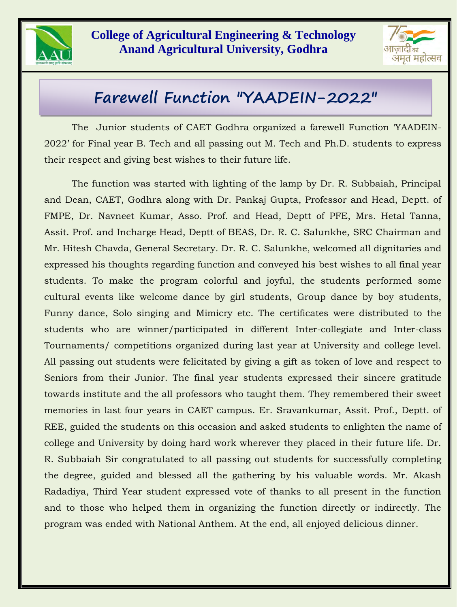

## **College of Agricultural Engineering & Technology Anand Agricultural University, Godhra**



## **Farewell Function "YAADEIN-2022"**

The Junior students of CAET Godhra organized a farewell Function 'YAADEIN-2022' for Final year B. Tech and all passing out M. Tech and Ph.D. students to express their respect and giving best wishes to their future life.

The function was started with lighting of the lamp by Dr. R. Subbaiah, Principal and Dean, CAET, Godhra along with Dr. Pankaj Gupta, Professor and Head, Deptt. of FMPE, Dr. Navneet Kumar, Asso. Prof. and Head, Deptt of PFE, Mrs. Hetal Tanna, Assit. Prof. and Incharge Head, Deptt of BEAS, Dr. R. C. Salunkhe, SRC Chairman and Mr. Hitesh Chavda, General Secretary. Dr. R. C. Salunkhe, welcomed all dignitaries and expressed his thoughts regarding function and conveyed his best wishes to all final year students. To make the program colorful and joyful, the students performed some cultural events like welcome dance by girl students, Group dance by boy students, Funny dance, Solo singing and Mimicry etc. The certificates were distributed to the students who are winner/participated in different Inter-collegiate and Inter-class Tournaments/ competitions organized during last year at University and college level. All passing out students were felicitated by giving a gift as token of love and respect to Seniors from their Junior. The final year students expressed their sincere gratitude towards institute and the all professors who taught them. They remembered their sweet memories in last four years in CAET campus. Er. Sravankumar, Assit. Prof., Deptt. of REE, guided the students on this occasion and asked students to enlighten the name of college and University by doing hard work wherever they placed in their future life. Dr. R. Subbaiah Sir congratulated to all passing out students for successfully completing the degree, guided and blessed all the gathering by his valuable words. Mr. Akash Radadiya, Third Year student expressed vote of thanks to all present in the function and to those who helped them in organizing the function directly or indirectly. The program was ended with National Anthem. At the end, all enjoyed delicious dinner.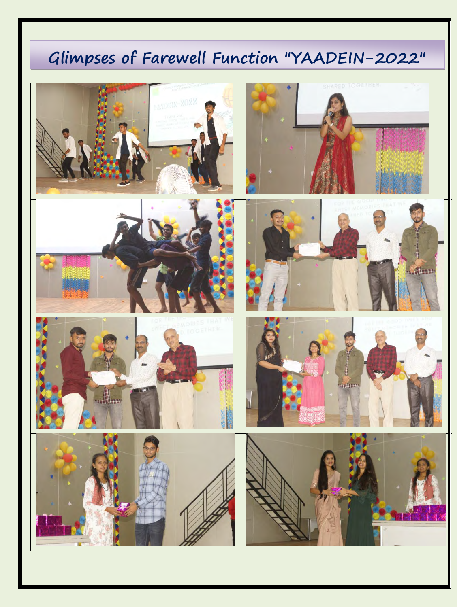## **Glimpses of Farewell Function "YAADEIN-2022"**